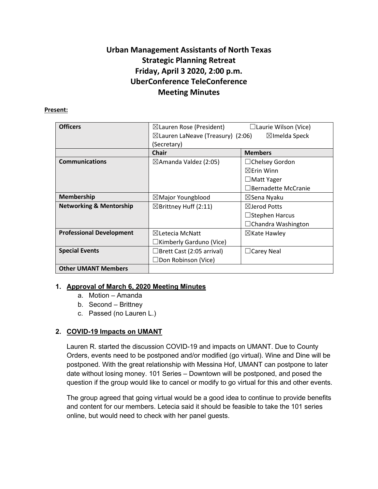# **Urban Management Assistants of North Texas Strategic Planning Retreat Friday, April 3 2020, 2:00 p.m. UberConference TeleConference Meeting Minutes**

### **Present:**

| <b>Officers</b>                    | $\boxtimes$ Lauren Rose (President)<br>$\boxtimes$ Lauren LaNeave (Treasury) (2:06) | $\Box$ Laurie Wilson (Vice)<br>$\boxtimes$ Imelda Speck |
|------------------------------------|-------------------------------------------------------------------------------------|---------------------------------------------------------|
|                                    | (Secretary)                                                                         |                                                         |
|                                    | <b>Chair</b>                                                                        | <b>Members</b>                                          |
| <b>Communications</b>              | $\boxtimes$ Amanda Valdez (2:05)                                                    | $\Box$ Chelsey Gordon                                   |
|                                    |                                                                                     | $\boxtimes$ Erin Winn                                   |
|                                    |                                                                                     | $\Box$ Matt Yager                                       |
|                                    |                                                                                     | □Bernadette McCranie                                    |
| <b>Membership</b>                  | $\boxtimes$ Major Youngblood                                                        | ⊠Sena Nyaku                                             |
| <b>Networking &amp; Mentorship</b> | $\boxtimes$ Brittney Huff (2:11)                                                    | $\boxtimes$ Jerod Potts                                 |
|                                    |                                                                                     | $\Box$ Stephen Harcus                                   |
|                                    |                                                                                     | $\Box$ Chandra Washington                               |
| <b>Professional Development</b>    | $\boxtimes$ Letecia McNatt                                                          | $\boxtimes$ Kate Hawley                                 |
|                                    | $\Box$ Kimberly Garduno (Vice)                                                      |                                                         |
| <b>Special Events</b>              | $\Box$ Brett Cast (2:05 arrival)                                                    | $\Box$ Carey Neal                                       |
|                                    | $\Box$ Don Robinson (Vice)                                                          |                                                         |
| <b>Other UMANT Members</b>         |                                                                                     |                                                         |

# **1. Approval of March 6, 2020 Meeting Minutes**

- a. Motion Amanda
- b. Second Brittney
- c. Passed (no Lauren L.)

# **2. COVID-19 Impacts on UMANT**

Lauren R. started the discussion COVID-19 and impacts on UMANT. Due to County Orders, events need to be postponed and/or modified (go virtual). Wine and Dine will be postponed. With the great relationship with Messina Hof, UMANT can postpone to later date without losing money. 101 Series – Downtown will be postponed, and posed the question if the group would like to cancel or modify to go virtual for this and other events.

The group agreed that going virtual would be a good idea to continue to provide benefits and content for our members. Letecia said it should be feasible to take the 101 series online, but would need to check with her panel guests.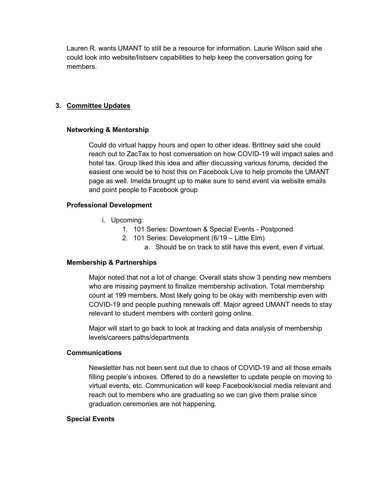Lauren R. wants UMANT to still be a resource for information. Laurie Wilson said she could look into website/listserv capabilities to help keep the conversation going for members.

## **3. Committee Updates**

## **Networking & Mentorship**

Could do virtual happy hours and open to other ideas. Brittney said she could reach out to ZacTax to host conversation on how COVID-19 will impact sales and hotel tax. Group liked this idea and after discussing various forums, decided the easiest one would be to host this on Facebook Live to help promote the UMANT page as well. Imelda brought up to make sure to send event via website emails and point people to Facebook group

## **Professional Development**

- i. Upcoming:
	- 1. 101 Series: Downtown & Special Events Postponed
	- 2. 101 Series: Development (6/19 Little Elm)
		- a. Should be on track to still have this event, even if virtual.

## **Membership & Partnerships**

Major noted that not a lot of change. Overall stats show 3 pending new members who are missing payment to finalize membership activation. Total membership count at 199 members. Most likely going to be okay with membership even with COVID-19 and people pushing renewals off. Major agreed UMANT needs to stay relevant to student members with content going online.

Major will start to go back to look at tracking and data analysis of membership levels/careers paths/departments

#### **Communications**

Newsletter has not been sent out due to chaos of COVID-19 and all those emails filling people's inboxes. Offered to do a newsletter to update people on moving to virtual events, etc. Communication will keep Facebook/social media relevant and reach out to members who are graduating so we can give them praise since graduation ceremonies are not happening.

#### **Special Events**